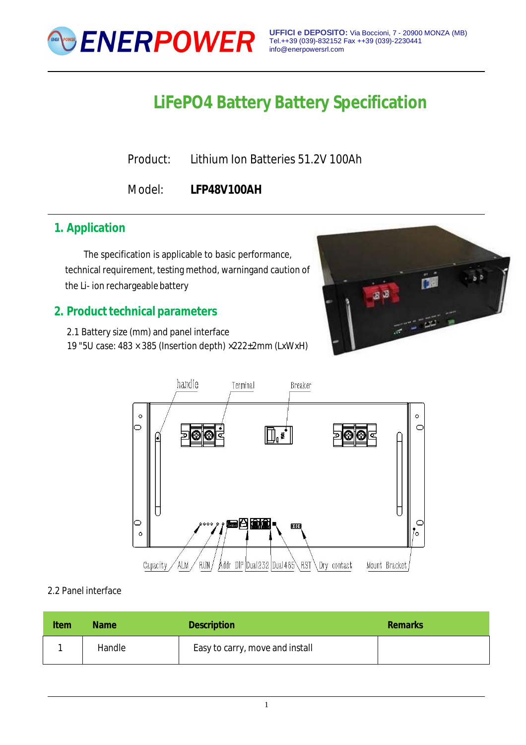

**UFFICI e DEPOSITO:** Via Boccioni, 7 - 20900 MONZA (MB) Tel.++39 (039)-832152 Fax ++39 (039)-2230441 [info@enerpowersrl.com](mailto:info@enerpowersrl.com)

# **LiFePO4 Battery Battery Specification**

Product: Lithium Ion Batteries 51.2V 100Ah

Model: **LFP48V100AH**

## **1. Application**

The specification is applicable to basic performance, technical requirement, testing method, warningand caution of the Li- ion rechargeable battery

## **2. Product technical parameters**

2.1 Battery size (mm) and panel interface 19 "5U case: 483 × 385 (Insertion depth) ×222±2mm (LxWxH)





2.2 Panel interface

| <b>Item</b> | <b>Name</b> | <b>Description</b>              | <b>Remarks</b> |
|-------------|-------------|---------------------------------|----------------|
|             | Handle      | Easy to carry, move and install |                |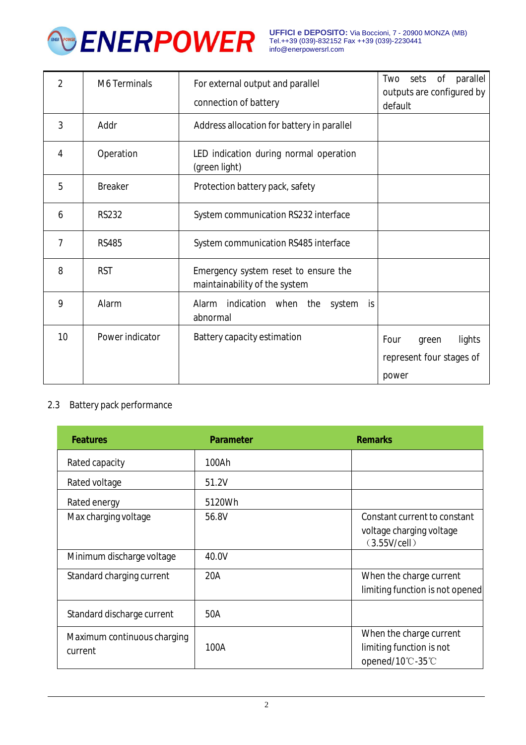

**UFFICI e DEPOSITO:** Via Boccioni, 7 - 20900 MONZA (MB) Tel.++39 (039)-832152 Fax ++39 (039)-2230441 [info@enerpowersrl.com](mailto:info@enerpowersrl.com)

| 2  | <b>M6 Terminals</b> | For external output and parallel                                      | parallel<br>Two<br>Οf<br>sets<br>outputs are configured by |  |  |
|----|---------------------|-----------------------------------------------------------------------|------------------------------------------------------------|--|--|
|    |                     | connection of battery                                                 | default                                                    |  |  |
| 3  | Addr                | Address allocation for battery in parallel                            |                                                            |  |  |
| 4  | Operation           | LED indication during normal operation<br>(green light)               |                                                            |  |  |
| 5  | <b>Breaker</b>      | Protection battery pack, safety                                       |                                                            |  |  |
| 6  | <b>RS232</b>        | System communication RS232 interface                                  |                                                            |  |  |
| 7  | <b>RS485</b>        | System communication RS485 interface                                  |                                                            |  |  |
| 8  | <b>RST</b>          | Emergency system reset to ensure the<br>maintainability of the system |                                                            |  |  |
| 9  | Alarm               | Alarm indication when the<br>system<br>is.<br>abnormal                |                                                            |  |  |
| 10 | Power indicator     | Battery capacity estimation                                           | Four<br>lights<br>green                                    |  |  |
|    |                     |                                                                       | represent four stages of                                   |  |  |
|    |                     |                                                                       | power                                                      |  |  |

#### 2.3 Battery pack performance

| <b>Features</b>                        | <b>Parameter</b> | <b>Remarks</b>                                                           |
|----------------------------------------|------------------|--------------------------------------------------------------------------|
| Rated capacity                         | 100Ah            |                                                                          |
| Rated voltage                          | 51.2V            |                                                                          |
| Rated energy                           | 5120Wh           |                                                                          |
| Max charging voltage                   | 56.8V            | Constant current to constant<br>voltage charging voltage<br>(3.55V/cell) |
| Minimum discharge voltage              | 40.0V            |                                                                          |
| Standard charging current              | 20A              | When the charge current<br>limiting function is not opened               |
| Standard discharge current             | 50A              |                                                                          |
| Maximum continuous charging<br>current | 100A             | When the charge current<br>limiting function is not<br>opened/10℃-35℃    |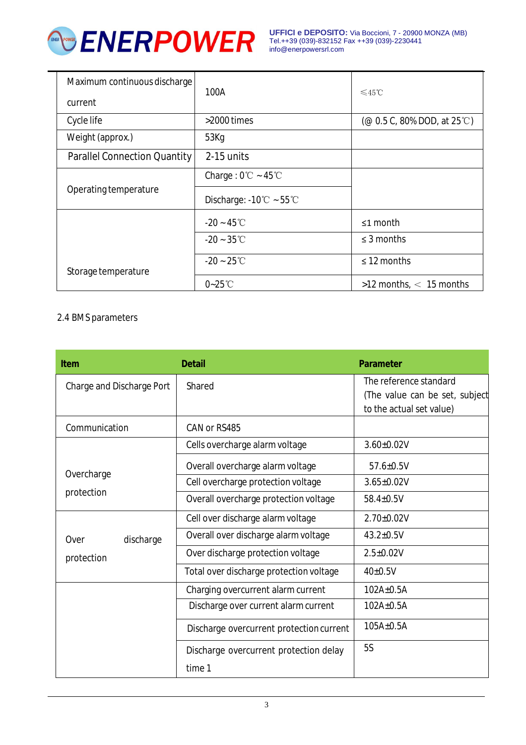

| Maximum continuous discharge<br>current | 100A                                         | $≤45$ °C                                                                                           |
|-----------------------------------------|----------------------------------------------|----------------------------------------------------------------------------------------------------|
| Cycle life                              | $>$ 2000 times                               | $(\text{\textcircled{a}} 0.5 \text{ C}, 80\% \text{ DOD}, \text{at } 25 \text{ }^{\circ}\text{C})$ |
| Weight (approx.)                        | 53Kg                                         |                                                                                                    |
| <b>Parallel Connection Quantity</b>     | 2-15 units                                   |                                                                                                    |
|                                         | Charge: $0^{\circ}$ C ~ 45 $^{\circ}$ C      |                                                                                                    |
| Operating temperature                   | Discharge: $-10^{\circ}$ C ~ 55 $^{\circ}$ C |                                                                                                    |
|                                         | $-20 - 45^{\circ}$ C                         | $\leq 1$ month                                                                                     |
|                                         | $-20 - 35^{\circ}$ C                         | $\leq$ 3 months                                                                                    |
| Storage temperature                     | $-20 - 25^{\circ}$ C                         | $\leq$ 12 months                                                                                   |
|                                         | $0-25^{\circ}$ C                             | $>12$ months, $<$ 15 months                                                                        |

#### 2.4 BMS parameters

| <b>Item</b>               | <b>Detail</b>                            | <b>Parameter</b>                                                                     |
|---------------------------|------------------------------------------|--------------------------------------------------------------------------------------|
| Charge and Discharge Port | Shared                                   | The reference standard<br>(The value can be set, subject<br>to the actual set value) |
| Communication             | CAN or RS485                             |                                                                                      |
|                           | Cells overcharge alarm voltage           | $3.60 \pm 0.02$ V                                                                    |
|                           | Overall overcharge alarm voltage         | $57.6 \pm 0.5V$                                                                      |
| Overcharge                | Cell overcharge protection voltage       | $3.65 \pm 0.02V$                                                                     |
| protection                | Overall overcharge protection voltage    | $58.4 \pm 0.5V$                                                                      |
|                           | Cell over discharge alarm voltage        | $2.70 \pm 0.02$ V                                                                    |
| Over<br>discharge         | Overall over discharge alarm voltage     | $43.2 \pm 0.5V$                                                                      |
| protection                | Over discharge protection voltage        | $2.5 \pm 0.02V$                                                                      |
|                           | Total over discharge protection voltage  | $40\pm0.5V$                                                                          |
|                           | Charging overcurrent alarm current       | $102A\pm0.5A$                                                                        |
|                           | Discharge over current alarm current     | $102A\pm0.5A$                                                                        |
|                           | Discharge overcurrent protection current | $105A\pm0.5A$                                                                        |
|                           | Discharge overcurrent protection delay   | <b>5S</b>                                                                            |
|                           | time 1                                   |                                                                                      |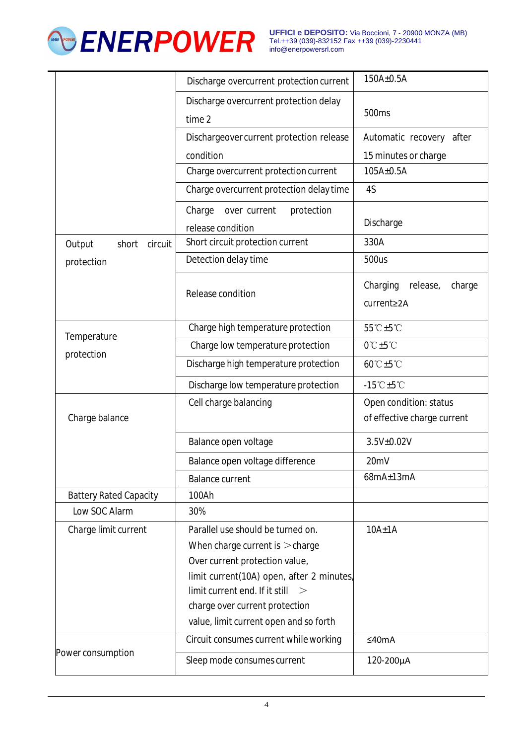

**UFFICI e DEPOSITO:** Via Boccioni, 7 - 20900 MONZA (MB) Tel.++39 (039)-832152 Fax ++39 (039)-2230441 [info@enerpowersrl.com](mailto:info@enerpowersrl.com)

|                               | Discharge overcurrent protection current                                                                                                                                                                                                                            | 150A±0.5A                                             |
|-------------------------------|---------------------------------------------------------------------------------------------------------------------------------------------------------------------------------------------------------------------------------------------------------------------|-------------------------------------------------------|
|                               | Discharge overcurrent protection delay                                                                                                                                                                                                                              |                                                       |
|                               | time 2                                                                                                                                                                                                                                                              | 500 <sub>ms</sub>                                     |
|                               | Dischargeover current protection release                                                                                                                                                                                                                            | Automatic recovery<br>after                           |
|                               | condition                                                                                                                                                                                                                                                           | 15 minutes or charge                                  |
|                               | Charge overcurrent protection current                                                                                                                                                                                                                               | 105A±0.5A                                             |
|                               | Charge overcurrent protection delay time                                                                                                                                                                                                                            | 4S                                                    |
|                               | Charge<br>protection<br>over current<br>release condition                                                                                                                                                                                                           | Discharge                                             |
| Output<br>short<br>circuit    | Short circuit protection current                                                                                                                                                                                                                                    | 330A                                                  |
| protection                    | Detection delay time                                                                                                                                                                                                                                                | 500us                                                 |
|                               | Release condition                                                                                                                                                                                                                                                   | Charging<br>release,<br>charge<br>current≥2A          |
| Temperature                   | Charge high temperature protection                                                                                                                                                                                                                                  | 55°C±5°C                                              |
|                               | Charge low temperature protection                                                                                                                                                                                                                                   | $0^\circ C \pm 5^\circ C$                             |
| protection                    | Discharge high temperature protection                                                                                                                                                                                                                               | 60°C±5°C                                              |
|                               | Discharge low temperature protection                                                                                                                                                                                                                                | $-15^{\circ}$ C $\pm 5^{\circ}$ C                     |
| Charge balance                | Cell charge balancing                                                                                                                                                                                                                                               | Open condition: status<br>of effective charge current |
|                               | Balance open voltage                                                                                                                                                                                                                                                | 3.5V±0.02V                                            |
|                               | Balance open voltage difference                                                                                                                                                                                                                                     | 20mV                                                  |
|                               | <b>Balance current</b>                                                                                                                                                                                                                                              | $68mA \pm 13mA$                                       |
| <b>Battery Rated Capacity</b> | 100Ah                                                                                                                                                                                                                                                               |                                                       |
| Low SOC Alarm                 | 30%                                                                                                                                                                                                                                                                 |                                                       |
| Charge limit current          | Parallel use should be turned on.<br>When charge current is $>$ charge<br>Over current protection value,<br>limit current(10A) open, after 2 minutes,<br>limit current end. If it still<br>charge over current protection<br>value, limit current open and so forth | $10A \pm 1A$                                          |
| Power consumption             | Circuit consumes current while working                                                                                                                                                                                                                              | ≤40mA                                                 |
|                               | Sleep mode consumes current                                                                                                                                                                                                                                         | 120-200µA                                             |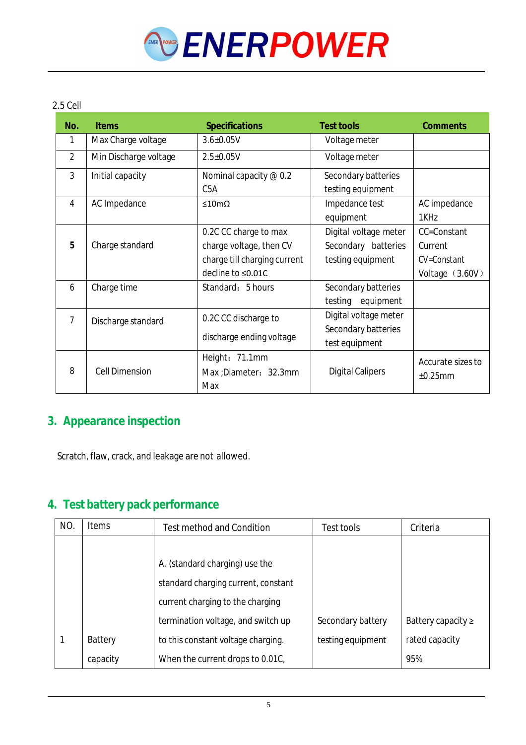

#### 2.5 Cell

| No.            | <b>Items</b>          | <b>Specifications</b>                                                                                 | <b>Test tools</b>                                                 | <b>Comments</b>                                          |
|----------------|-----------------------|-------------------------------------------------------------------------------------------------------|-------------------------------------------------------------------|----------------------------------------------------------|
| 1              | Max Charge voltage    | $3.6 \pm 0.05$ V                                                                                      | Voltage meter                                                     |                                                          |
| $\overline{2}$ | Min Discharge voltage | $2.5 \pm 0.05V$                                                                                       | Voltage meter                                                     |                                                          |
| 3              | Initial capacity      | Nominal capacity @ 0.2<br>C <sub>5</sub> A                                                            | Secondary batteries<br>testing equipment                          |                                                          |
| 4              | AC Impedance          | $\leq 10 \text{m}\Omega$                                                                              | Impedance test<br>equipment                                       | AC impedance<br>1KHz                                     |
| 5              | Charge standard       | 0.2C CC charge to max<br>charge voltage, then CV<br>charge till charging current<br>decline to ≤0.01C | Digital voltage meter<br>Secondary batteries<br>testing equipment | CC=Constant<br>Current<br>CV=Constant<br>Voltage (3.60V) |
| 6              | Charge time           | Standard: 5 hours                                                                                     | Secondary batteries<br>equipment<br>testing                       |                                                          |
| 7              | Discharge standard    | 0.2C CC discharge to<br>discharge ending voltage                                                      | Digital voltage meter<br>Secondary batteries<br>test equipment    |                                                          |
| 8              | <b>Cell Dimension</b> | Height: 71.1mm<br>Max ; Diameter: 32.3mm<br>Max                                                       | <b>Digital Calipers</b>                                           | Accurate sizes to<br>±0.25mm                             |

## **3. Appearance inspection**

Scratch, flaw, crack, and leakage are not allowed.

## **4. Test battery pack performance**

| NO. | <b>Items</b> | <b>Test method and Condition</b>    | Test tools        | Criteria                |
|-----|--------------|-------------------------------------|-------------------|-------------------------|
|     |              |                                     |                   |                         |
|     |              | A. (standard charging) use the      |                   |                         |
|     |              | standard charging current, constant |                   |                         |
|     |              | current charging to the charging    |                   |                         |
|     |              | termination voltage, and switch up  | Secondary battery | Battery capacity $\geq$ |
|     | Battery      | to this constant voltage charging.  | testing equipment | rated capacity          |
|     | capacity     | When the current drops to 0.01C,    |                   | 95%                     |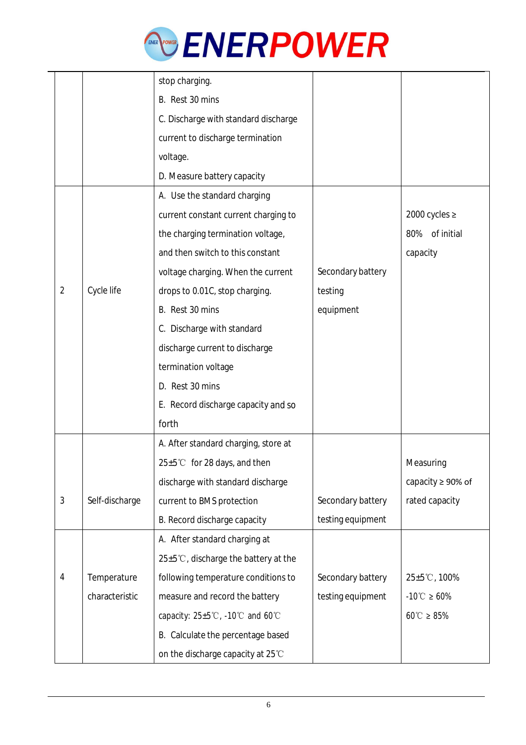

|                |                | stop charging.                                     |                   |                                         |
|----------------|----------------|----------------------------------------------------|-------------------|-----------------------------------------|
|                |                | B. Rest 30 mins                                    |                   |                                         |
|                |                | C. Discharge with standard discharge               |                   |                                         |
|                |                | current to discharge termination                   |                   |                                         |
|                |                | voltage.                                           |                   |                                         |
|                |                | D. Measure battery capacity                        |                   |                                         |
|                |                | A. Use the standard charging                       |                   |                                         |
|                |                | current constant current charging to               |                   | 2000 cycles $\ge$                       |
|                |                | the charging termination voltage,                  |                   | of initial<br>80%                       |
|                |                | and then switch to this constant                   |                   | capacity                                |
|                |                | voltage charging. When the current                 | Secondary battery |                                         |
| $\overline{2}$ | Cycle life     | drops to 0.01C, stop charging.                     | testing           |                                         |
|                |                | B. Rest 30 mins                                    | equipment         |                                         |
|                |                | C. Discharge with standard                         |                   |                                         |
|                |                | discharge current to discharge                     |                   |                                         |
|                |                | termination voltage                                |                   |                                         |
|                |                | D. Rest 30 mins                                    |                   |                                         |
|                |                | E. Record discharge capacity and so                |                   |                                         |
|                |                | forth                                              |                   |                                         |
|                |                | A. After standard charging, store at               |                   |                                         |
|                |                | $25 \pm 5^{\circ}$ C for 28 days, and then         |                   | Measuring                               |
|                |                | discharge with standard discharge                  |                   | capacity ≥ 90% of                       |
| 3              | Self-discharge | current to BMS protection                          | Secondary battery | rated capacity                          |
|                |                | B. Record discharge capacity                       | testing equipment |                                         |
|                |                | A. After standard charging at                      |                   |                                         |
|                |                | $25 \pm 5^{\circ}$ C, discharge the battery at the |                   |                                         |
| 4              | Temperature    | following temperature conditions to                | Secondary battery | $25 \pm 5^{\circ}$ C, 100%              |
|                | characteristic | measure and record the battery                     | testing equipment | $-10^{\circ}$ $\textdegree$ $\geq 60\%$ |
|                |                | capacity: $25 \pm 5^{\circ}$ C, -10°C and 60°C     |                   | $60^{\circ}$ $\geq 85\%$                |
|                |                | B. Calculate the percentage based                  |                   |                                         |
|                |                | on the discharge capacity at 25°C                  |                   |                                         |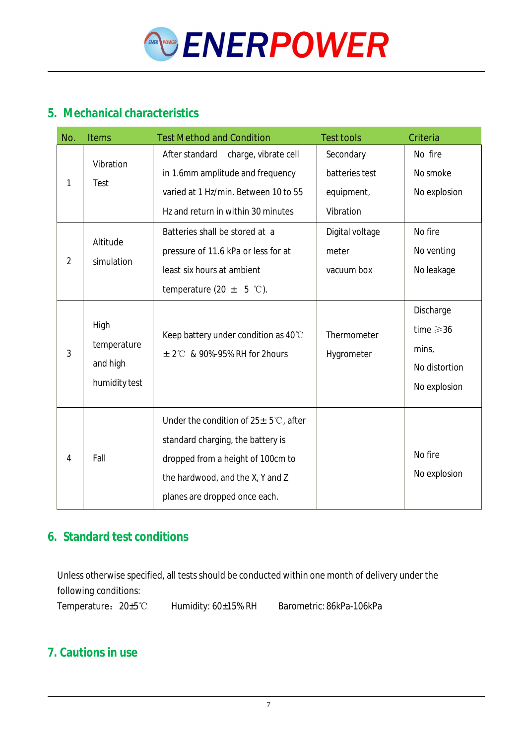

## **5. Mechanical characteristics**

| No.            | <b>Items</b>                                     | <b>Test Method and Condition</b>                                                                                                                                                                  | <b>Test tools</b>                                      | Criteria                                                                              |
|----------------|--------------------------------------------------|---------------------------------------------------------------------------------------------------------------------------------------------------------------------------------------------------|--------------------------------------------------------|---------------------------------------------------------------------------------------|
| 1              | Vibration<br>Test                                | After standard<br>charge, vibrate cell<br>in 1.6mm amplitude and frequency<br>varied at 1 Hz/min. Between 10 to 55<br>Hz and return in within 30 minutes                                          | Secondary<br>batteries test<br>equipment,<br>Vibration | No fire<br>No smoke<br>No explosion                                                   |
| $\overline{2}$ | Altitude<br>simulation                           | Batteries shall be stored at a<br>pressure of 11.6 kPa or less for at<br>least six hours at ambient<br>temperature (20 $\pm$ 5 °C).                                                               | Digital voltage<br>meter<br>vacuum box                 | No fire<br>No venting<br>No leakage                                                   |
| 3              | High<br>temperature<br>and high<br>humidity test | Keep battery under condition as 40°C<br>$\pm$ 2°C & 90%-95% RH for 2hours                                                                                                                         | Thermometer<br>Hygrometer                              | Discharge<br>time $\geqslant$ 36<br>min <sub>1</sub><br>No distortion<br>No explosion |
| 4              | Fall                                             | Under the condition of $25 \pm 5^{\circ}$ c, after<br>standard charging, the battery is<br>dropped from a height of 100cm to<br>the hardwood, and the X, Y and Z<br>planes are dropped once each. |                                                        | No fire<br>No explosion                                                               |

## **6. Standard test conditions**

Unless otherwise specified, all tests should be conducted within one month of delivery under the following conditions:

Temperature:20±5℃ Humidity: 60±15% RH Barometric: 86kPa-106kPa

## **7. Cautions in use**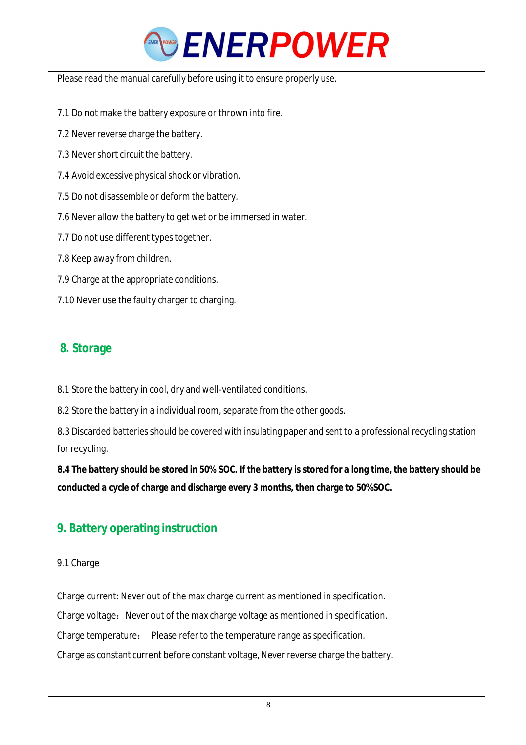

Please read the manual carefully before using it to ensure properly use.

- 7.1 Do not make the battery exposure or thrown into fire.
- 7.2 Never reverse charge the battery.
- 7.3 Never short circuit the battery.
- 7.4 Avoid excessive physical shock or vibration.
- 7.5 Do not disassemble or deform the battery.
- 7.6 Never allow the battery to get wet or be immersed in water.
- 7.7 Do not use different types together.
- 7.8 Keep away from children.
- 7.9 Charge at the appropriate conditions.
- 7.10 Never use the faulty charger to charging.

## **8. Storage**

8.1 Store the battery in cool, dry and well-ventilated conditions.

8.2 Store the battery in a individual room, separate from the other goods.

8.3 Discarded batteries should be covered with insulating paper and sent to a professional recycling station for recycling.

8.4 The battery should be stored in 50% SOC. If the battery is stored for a long time, the battery should be **conducted a cycle of charge and discharge every 3 months, then charge to 50%SOC.**

## **9. Battery operating instruction**

#### 9.1 Charge

Charge current: Never out of the max charge current as mentioned in specification. Charge voltage: Never out of the max charge voltage as mentioned in specification. Charge temperature: Please refer to the temperature range as specification. Charge as constant current before constant voltage, Never reverse charge the battery.